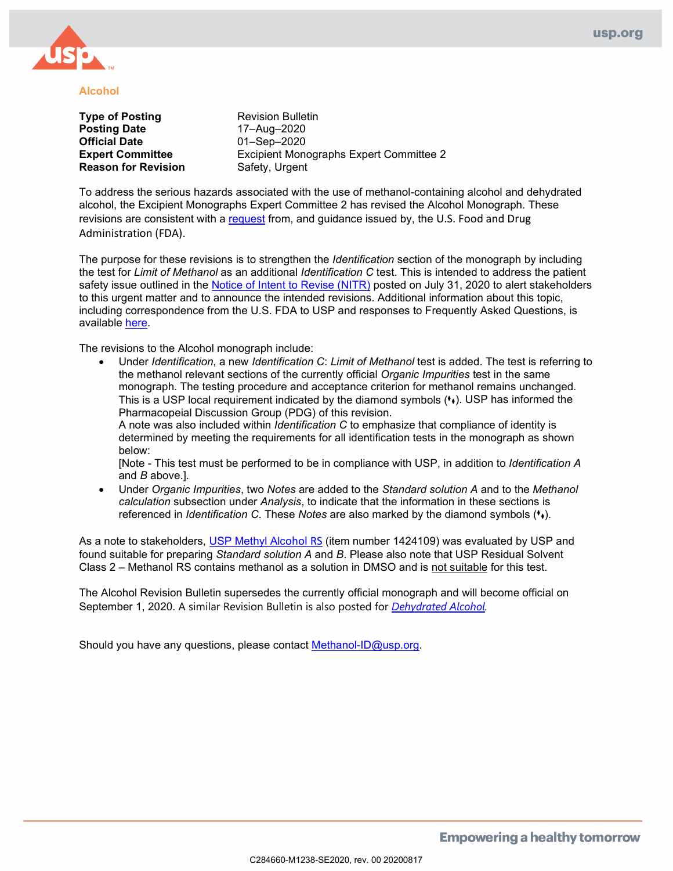

#### **Alcohol**

**Type of Posting** <br> **Posting Date Revision Bulletin**<br>  $17 - \text{Aug} - 2020$ **Official Date** 01–Sep–2020 **Reason for Revision** 

**Posting Date** 17–Aug–2020 **Expert Committee Excipient Monographs Expert Committee 2**<br> **Reason for Revision** Safety, Urgent

To address the serious hazards associated with the use of methanol-containing alcohol and dehydrated alcohol, the Excipient Monographs Expert Committee 2 has revised the Alcohol Monograph. These revisions are consistent with a [request](https://www.uspnf.com/sites/default/files/usp_pdf/EN/USPNF/usp-nf-notices/fda-letter-alcohols-nitr-att.pdf) from, and guidance issued by, the U.S. Food and Drug Administration (FDA).

The purpose for these revisions is to strengthen the *Identification* section of the monograph by including the test for *Limit of Methanol* as an additional *Identification C* test. This is intended to address the patient safety issue outlined in the [Notice of Intent to Revise \(NITR\)](https://www.uspnf.com/notices/methanol-testing-nitr-20200731) posted on July 31, 2020 to alert stakeholders to this urgent matter and to announce the intended revisions. Additional information about this topic, including correspondence from the U.S. FDA to USP and responses to Frequently Asked Questions, is available [here.](https://www.uspnf.com/notices/alcohols-faq) 

The revisions to the Alcohol monograph include:

• Under *Identification*, a new *Identification C*: *Limit of Methanol* test is added. The test is referring to the methanol relevant sections of the currently official *Organic Impurities* test in the same monograph. The testing procedure and acceptance criterion for methanol remains unchanged. This is a USP local requirement indicated by the diamond symbols (\*). USP has informed the Pharmacopeial Discussion Group (PDG) of this revision.

A note was also included within *Identification C* to emphasize that compliance of identity is determined by meeting the requirements for all identification tests in the monograph as shown below:

[Note - This test must be performed to be in compliance with USP, in addition to *Identification A* and *B* above.]*.*

• Under *Organic Impurities*, two *Notes* are added to the *Standard solution A* and to the *Methanol calculation* subsection under *Analysis*, to indicate that the information in these sections is referenced in *Identification C*. These *Notes* are also marked by the diamond symbols (⧫⧫).

As a note to stakeholders, [USP Methyl Alc](https://store.usp.org/OA_HTML/ibeCCtpItmDspRte.jsp?item=25640§ion=10560&beginIndex=120&sitex=10020:22372:US)ohol RS (item number 1424109) was evaluated by USP and found suitable for preparing *Standard solution A* and *B*. Please also note that USP Residual Solvent Class 2 – Methanol RS contains methanol as a solution in DMSO and is not suitable for this test.

The Alcohol Revision Bulletin supersedes the currently official monograph and will become official on September 1, 2020. A similar Revision Bulletin is also posted for *[Dehydrated Alcohol.](https://www.uspnf.com/sites/default/files/usp_pdf/EN/USPNF/revisions/dehydrated-alcohol-rb-notice-20200817.pdf)*

Should you have any questions, please contact [Methanol-ID@usp.org.](mailto:Methanol-ID@usp.org)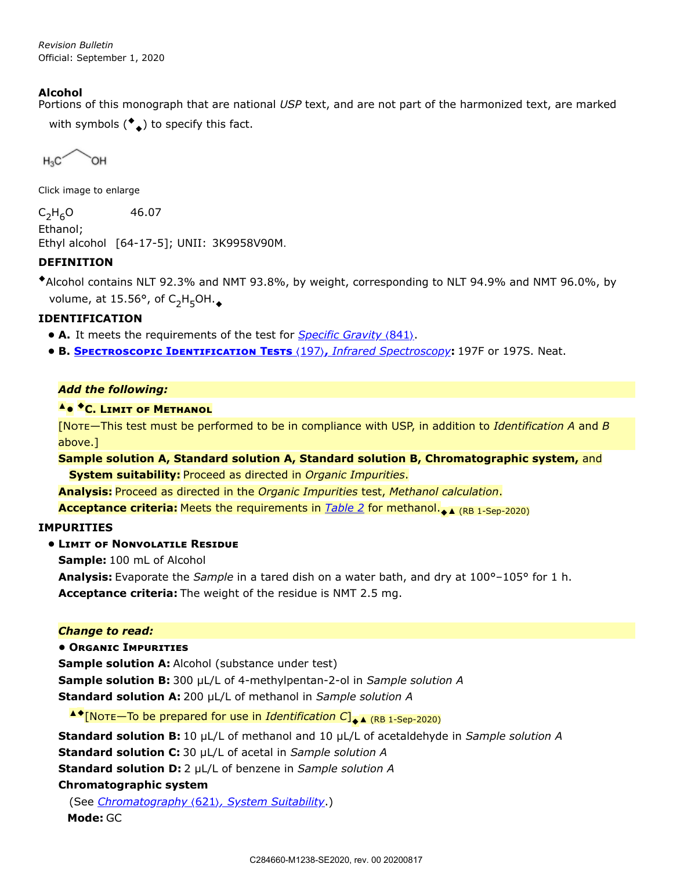## <span id="page-1-0"></span>**Alcohol**

Portions of this monograph that are national *USP* text, and are not part of the harmonized text, are marked with symbols  $(\bullet_\blacklozenge)$  to specify this fact.

 $H_3C$ **OH** 

Click image to enlarge

 $C_2H_6O$  46.07 Ethanol;

Ethyl alcohol [64-17-5]; UNII: 3K9958V90M.

## **DEFINITION**

◆Alcohol contains NLT 92.3% and NMT 93.8%, by weight, corresponding to NLT 94.9% and NMT 96.0%, by volume, at 15.56°, of  $\mathsf{C_2H_5OH.}_{\color{red}\blacklozenge}$ 

## **IDENTIFICATION**

- **A.** It meets the requirements of the test for *Specific Gravity (841)*.
- **B. SPECTROSCOPIC IDENTIFICATION TESTS (197), Infrared Spectroscopy: 197F or 197S. Neat.**

## *Add the following:*

# **A•**  $\bullet$  **C.** LIMIT OF METHANOL

[N—This test must be performed to be in compliance with USP, in addition to *Identification A* and *B* above.]

**Sample solution A, Standard solution A, Standard solution B, Chromatographic system,** and **System suitability:** Proceed as directed in *Organic Impurities*.

**Analysis:** Proceed as directed in the *Organic Impurities* test, *Methanol calculation*.

**Acceptance criteria:** Meets the requirements in *[Table 2](#page-3-0)* for methanol.<sub>◆▲ (RB 1-Sep-2020)</sub>

## **IMPURITIES**

# **• LIMIT OF NONVOLATILE RESIDUE**

**Sample:** 100 mL of Alcohol

**Analysis:** Evaporate the *Sample* in a tared dish on a water bath, and dry at 100°–105° for 1 h. **Acceptance criteria:** The weight of the residue is NMT 2.5 mg.

#### *Change to read:*

**• ORGANIC IMPURITIES** 

**Sample solution A:** Alcohol (substance under test) **Sample solution B:** 300 µL/L of 4-methylpentan-2-ol in *Sample solution A* **Standard solution A:** 200 µL/L of methanol in *Sample solution A*

▲◆[No $\tau$ E—To be prepared for use in *Identification C*]<sub>◆▲ (RB 1-Sep-2020)</sub>

**Standard solution B:** 10 µL/L of methanol and 10 µL/L of acetaldehyde in *Sample solution A*

**Standard solution C:** 30 µL/L of acetal in *Sample solution A*

**Standard solution D:** 2 µL/L of benzene in *Sample solution A*

## **Chromatographic system**

(See *Chromatography* 〈621〉*, System Suitability*.) **Mode:** GC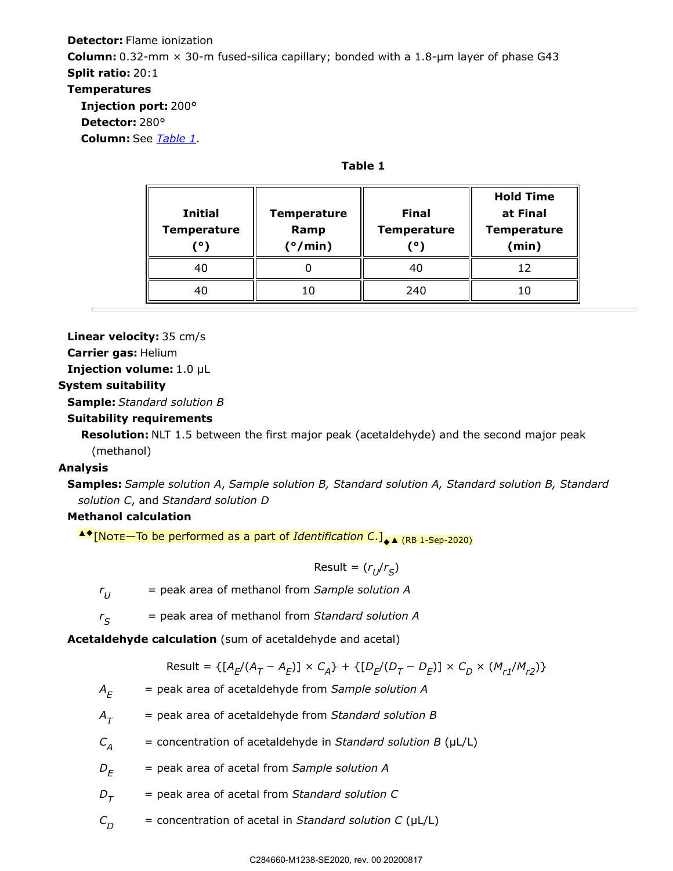# **Detector:** Flame ionization **Column:**  $0.32$ -mm  $\times$  30-m fused-silica capillary; bonded with a 1.8- $\mu$ m layer of phase G43 **Split ratio:** 20:1 **Temperatures Injection port:** 200° **Detector:** 280° **Column:** See *[Table 1](#page-2-0)*.

**Table 1**

<span id="page-2-0"></span>

| <b>Initial</b><br><b>Temperature</b><br>' ٥ | <b>Temperature</b><br>Ramp<br>$(^{\circ}/\text{min})$ | <b>Final</b><br><b>Temperature</b><br>( ۰ | <b>Hold Time</b><br>at Final<br><b>Temperature</b><br>(min) |
|---------------------------------------------|-------------------------------------------------------|-------------------------------------------|-------------------------------------------------------------|
| 40                                          |                                                       | 40                                        | 12                                                          |
| 40                                          | 10                                                    | 240                                       | 10                                                          |

**Linear velocity:** 35 cm/s

**Carrier gas:** Helium

**Injection volume:** 1.0 µL

#### **System suitability**

**Sample:** *Standard solution B*

## **Suitability requirements**

**Resolution:** NLT 1.5 between the first major peak (acetaldehyde) and the second major peak (methanol)

## **Analysis**

**Samples:** *Sample solution A*, *Sample solution B, Standard solution A, Standard solution B, Standard solution C*, and *Standard solution D*

# **Methanol calculation**

▲◆[No $\tau$ E—To be performed as a part of *Identification C*.]<sub>◆▲ (RB 1-Sep-2020)</sub>

 $Result = (r_U/r_S)$ 

*r* = peak area of methanol from *Sample solution A*  $r_{U}$ 

 $=$  peak area of methanol from *Standard solution A*  $r_{\varsigma}$ 

**Acetaldehyde calculation** (sum of acetaldehyde and acetal)

Result = {[
$$
A_E/(A_T - A_E)
$$
] ×  $C_A$ } + {[ $D_E/(D_T - D_E)$ ] ×  $C_D$  ×  $(M_{r1}/M_{r2})$ }

*A* = peak area of acetaldehyde from *Sample solution A*  $A_F$ 

*A* = peak area of acetaldehyde from *Standard solution B*  $A_{\tau}$ 

*C* = concentration of acetaldehyde in *Standard solution B* (µL/L)  $C_{\rm A}$ 

*D* = peak area of acetal from *Sample solution A*  $D_F$ 

*D* = peak area of acetal from *Standard solution C*  $D_T$ 

*C* = concentration of acetal in *Standard solution C* (µL/L)  $C_{D}$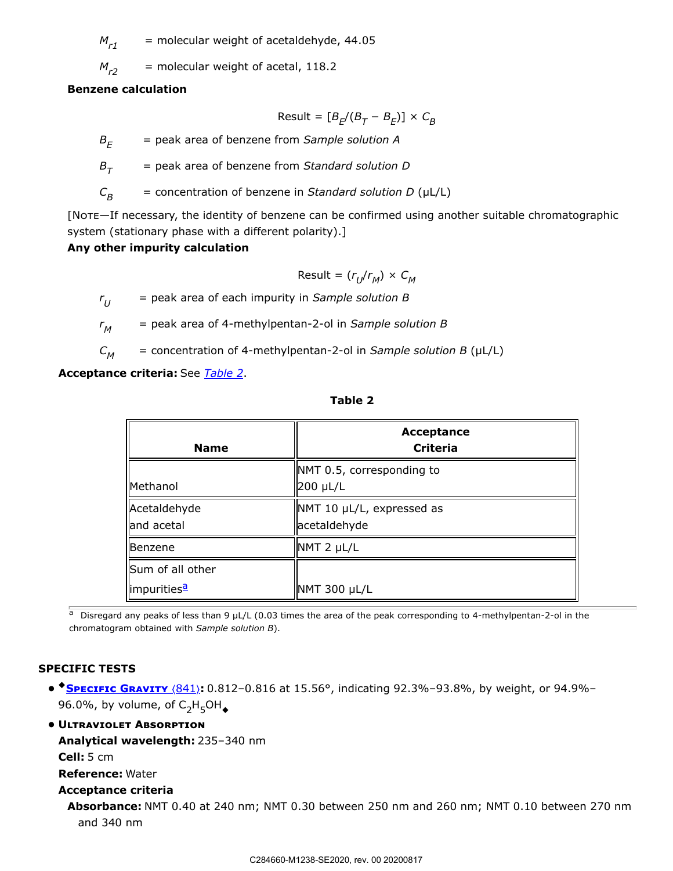*M* = molecular weight of acetaldehyde, 44.05  $M_{r1}$ 

 $=$  molecular weight of acetal, 118.2  $M_{r2}$ 

#### **Benzene calculation**

$$
Result = [B_E/(B_T - B_E)] \times C_B
$$

*B* = peak area of benzene from *Sample solution A*  $B_F$ 

*B* = peak area of benzene from *Standard solution D*  $B_{\tau}$ 

*C* = concentration of benzene in *Standard solution D* (µL/L)  $C_B$ 

[NOTE-If necessary, the identity of benzene can be confirmed using another suitable chromatographic system (stationary phase with a different polarity).]

# **Any other impurity calculation**

$$
\text{Result} = (r_U/r_M) \times C_M
$$

*r* = peak area of each impurity in *Sample solution B*  $r_{II}$ 

*r* = peak area of 4-methylpentan-2-ol in *Sample solution B*  $r_M$ 

*C* = concentration of 4-methylpentan-2-ol in *Sample solution B* (µL/L)  $C_{\mathcal{M}}$ 

<span id="page-3-0"></span>**Acceptance criteria:** See *[Table 2](#page-3-0)*.

| <b>Name</b>                  | Acceptance<br><b>Criteria</b>             |
|------------------------------|-------------------------------------------|
| Methanol                     | NMT 0.5, corresponding to<br>200 µL/L     |
| Acetaldehyde<br>lland acetal | NMT 10 µL/L, expressed as<br>acetaldehyde |
| Benzene                      | NMT 2 µL/L                                |
| Sum of all other             |                                           |
| limpurities <sup>a</sup>     | NMT 300 µL/L                              |

**Table 2**

<span id="page-3-1"></span>a Disregard any peaks of less than 9 µL/L (0.03 times the area of the peak corresponding to 4-methylpentan-2-ol in the chromatogram obtained with *Sample solution B*).

# **SPECIFIC TESTS**

• **• SPECIFIC GRAVITY** (841): 0.812-0.816 at 15.56°, indicating 92.3%-93.8%, by weight, or 94.9%-96.0%, by volume, of  $C_2H_5OH_{\blacklozenge}$ 

## **• ULTRAVIOLET ABSORPTION**

**Analytical wavelength:** 235–340 nm

**Cell:** 5 cm

**Reference:** Water

#### **Acceptance criteria**

**Absorbance:** NMT 0.40 at 240 nm; NMT 0.30 between 250 nm and 260 nm; NMT 0.10 between 270 nm and 340 nm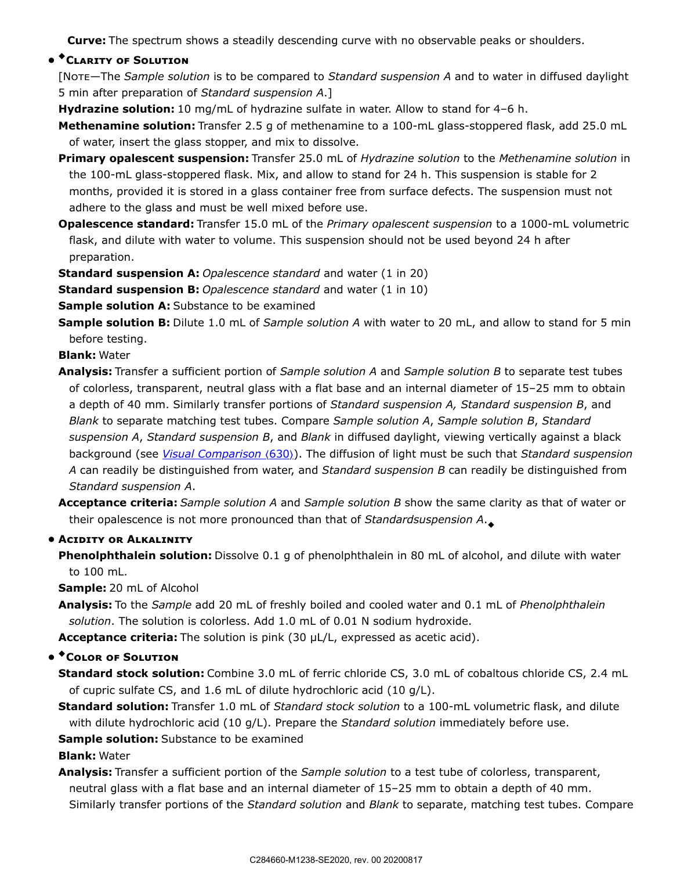**Curve:** The spectrum shows a steadily descending curve with no observable peaks or shoulders.

# **• \***CLARITY OF SOLUTION

[N—The *Sample solution* is to be compared to *Standard suspension A* and to water in diffused daylight 5 min after preparation of *Standard suspension A*.]

**Hydrazine solution:** 10 mg/mL of hydrazine sulfate in water. Allow to stand for 4–6 h.

**Methenamine solution:** Transfer 2.5 g of methenamine to a 100-mL glass-stoppered flask, add 25.0 mL of water, insert the glass stopper, and mix to dissolve.

- **Primary opalescent suspension:** Transfer 25.0 mL of *Hydrazine solution* to the *Methenamine solution* in the 100-mL glass-stoppered flask. Mix, and allow to stand for 24 h. This suspension is stable for 2 months, provided it is stored in a glass container free from surface defects. The suspension must not adhere to the glass and must be well mixed before use.
- **Opalescence standard:** Transfer 15.0 mL of the *Primary opalescent suspension* to a 1000-mL volumetric flask, and dilute with water to volume. This suspension should not be used beyond 24 h after preparation.

**Standard suspension A:** *Opalescence standard* and water (1 in 20)

**Standard suspension B:** *Opalescence standard* and water (1 in 10)

**Sample solution A:** Substance to be examined

**Sample solution B:** Dilute 1.0 mL of *Sample solution A* with water to 20 mL, and allow to stand for 5 min before testing.

**Blank:** Water

- **Analysis:** Transfer a sufficient portion of *Sample solution A* and *Sample solution B* to separate test tubes of colorless, transparent, neutral glass with a flat base and an internal diameter of 15–25 mm to obtain a depth of 40 mm. Similarly transfer portions of *Standard suspension A, Standard suspension B*, and *Blank* to separate matching test tubes. Compare *Sample solution A*, *Sample solution B*, *Standard suspension A*, *Standard suspension B*, and *Blank* in diffused daylight, viewing vertically against a black background (see *Visual Comparison (630)*). The diffusion of light must be such that *Standard suspension A* can readily be distinguished from water, and *Standard suspension B* can readily be distinguished from *Standard suspension A*.
- **Acceptance criteria:** *Sample solution A* and *Sample solution B* show the same clarity as that of water or their opalescence is not more pronounced than that of *Standardsuspension A*. ◆

#### **• ACIDITY OR ALKALINITY**

**Phenolphthalein solution:** Dissolve 0.1 g of phenolphthalein in 80 mL of alcohol, and dilute with water to 100 mL.

**Sample:** 20 mL of Alcohol

**Analysis:** To the *Sample* add 20 mL of freshly boiled and cooled water and 0.1 mL of *Phenolphthalein solution*. The solution is colorless. Add 1.0 mL of 0.01 N sodium hydroxide.

**Acceptance criteria:** The solution is pink (30 µL/L, expressed as acetic acid).

# $\bullet$  <sup>+</sup> Color of Solution

**Standard stock solution:** Combine 3.0 mL of ferric chloride CS, 3.0 mL of cobaltous chloride CS, 2.4 mL of cupric sulfate CS, and 1.6 mL of dilute hydrochloric acid (10 g/L).

**Standard solution:** Transfer 1.0 mL of *Standard stock solution* to a 100-mL volumetric flask, and dilute with dilute hydrochloric acid (10 g/L). Prepare the *Standard solution* immediately before use.

**Sample solution:** Substance to be examined

**Blank:** Water

**Analysis:** Transfer a sufficient portion of the *Sample solution* to a test tube of colorless, transparent, neutral glass with a flat base and an internal diameter of 15–25 mm to obtain a depth of 40 mm. Similarly transfer portions of the *Standard solution* and *Blank* to separate, matching test tubes. Compare